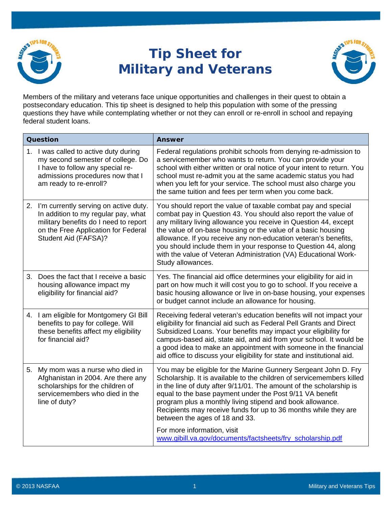

## **Tip Sheet for Military and Veterans**



Members of the military and veterans face unique opportunities and challenges in their quest to obtain a postsecondary education. This tip sheet is designed to help this population with some of the pressing questions they have while contemplating whether or not they can enroll or re-enroll in school and repaying federal student loans.

| Question |                                                                                                                                                                                         | <b>Answer</b>                                                                                                                                                                                                                                                                                                                                                                                                                                                                                    |
|----------|-----------------------------------------------------------------------------------------------------------------------------------------------------------------------------------------|--------------------------------------------------------------------------------------------------------------------------------------------------------------------------------------------------------------------------------------------------------------------------------------------------------------------------------------------------------------------------------------------------------------------------------------------------------------------------------------------------|
|          | 1. I was called to active duty during<br>my second semester of college. Do<br>I have to follow any special re-<br>admissions procedures now that I<br>am ready to re-enroll?            | Federal regulations prohibit schools from denying re-admission to<br>a servicemember who wants to return. You can provide your<br>school with either written or oral notice of your intent to return. You<br>school must re-admit you at the same academic status you had<br>when you left for your service. The school must also charge you<br>the same tuition and fees per term when you come back.                                                                                           |
|          | 2. I'm currently serving on active duty.<br>In addition to my regular pay, what<br>military benefits do I need to report<br>on the Free Application for Federal<br>Student Aid (FAFSA)? | You should report the value of taxable combat pay and special<br>combat pay in Question 43. You should also report the value of<br>any military living allowance you receive in Question 44, except<br>the value of on-base housing or the value of a basic housing<br>allowance. If you receive any non-education veteran's benefits,<br>you should include them in your response to Question 44, along<br>with the value of Veteran Administration (VA) Educational Work-<br>Study allowances. |
| 3.       | Does the fact that I receive a basic<br>housing allowance impact my<br>eligibility for financial aid?                                                                                   | Yes. The financial aid office determines your eligibility for aid in<br>part on how much it will cost you to go to school. If you receive a<br>basic housing allowance or live in on-base housing, your expenses<br>or budget cannot include an allowance for housing.                                                                                                                                                                                                                           |
|          | 4. I am eligible for Montgomery GI Bill<br>benefits to pay for college. Will<br>these benefits affect my eligibility<br>for financial aid?                                              | Receiving federal veteran's education benefits will not impact your<br>eligibility for financial aid such as Federal Pell Grants and Direct<br>Subsidized Loans. Your benefits may impact your eligibility for<br>campus-based aid, state aid, and aid from your school. It would be<br>a good idea to make an appointment with someone in the financial<br>aid office to discuss your eligibility for state and institutional aid.                                                              |
| 5.       | My mom was a nurse who died in<br>Afghanistan in 2004. Are there any<br>scholarships for the children of<br>servicemembers who died in the<br>line of duty?                             | You may be eligible for the Marine Gunnery Sergeant John D. Fry<br>Scholarship. It is available to the children of servicemembers killed<br>in the line of duty after 9/11/01. The amount of the scholarship is<br>equal to the base payment under the Post 9/11 VA benefit<br>program plus a monthly living stipend and book allowance.<br>Recipients may receive funds for up to 36 months while they are<br>between the ages of 18 and 33.<br>For more information, visit                     |
|          |                                                                                                                                                                                         | www.gibill.va.gov/documents/factsheets/fry_scholarship.pdf                                                                                                                                                                                                                                                                                                                                                                                                                                       |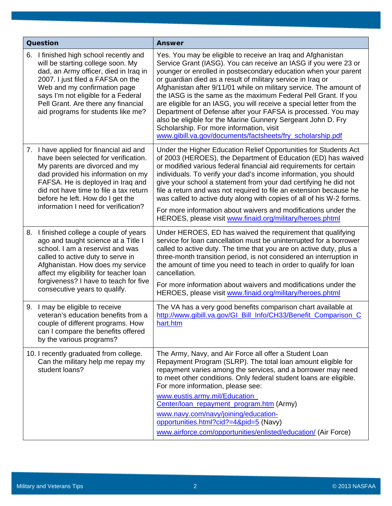| Question |                                                                                                                                                                                                                                                                                                                    | <b>Answer</b>                                                                                                                                                                                                                                                                                                                                                                                                                                                                                                                                                                                                                                                                                                              |
|----------|--------------------------------------------------------------------------------------------------------------------------------------------------------------------------------------------------------------------------------------------------------------------------------------------------------------------|----------------------------------------------------------------------------------------------------------------------------------------------------------------------------------------------------------------------------------------------------------------------------------------------------------------------------------------------------------------------------------------------------------------------------------------------------------------------------------------------------------------------------------------------------------------------------------------------------------------------------------------------------------------------------------------------------------------------------|
| 6.       | I finished high school recently and<br>will be starting college soon. My<br>dad, an Army officer, died in Iraq in<br>2007. I just filed a FAFSA on the<br>Web and my confirmation page<br>says I'm not eligible for a Federal<br>Pell Grant. Are there any financial<br>aid programs for students like me?         | Yes. You may be eligible to receive an Iraq and Afghanistan<br>Service Grant (IASG). You can receive an IASG if you were 23 or<br>younger or enrolled in postsecondary education when your parent<br>or guardian died as a result of military service in Iraq or<br>Afghanistan after 9/11/01 while on military service. The amount of<br>the IASG is the same as the maximum Federal Pell Grant. If you<br>are eligible for an IASG, you will receive a special letter from the<br>Department of Defense after your FAFSA is processed. You may<br>also be eligible for the Marine Gunnery Sergeant John D. Fry<br>Scholarship. For more information, visit<br>www.gibill.va.gov/documents/factsheets/fry_scholarship.pdf |
|          | 7. I have applied for financial aid and<br>have been selected for verification.<br>My parents are divorced and my<br>dad provided his information on my<br>FAFSA. He is deployed in Iraq and<br>did not have time to file a tax return<br>before he left. How do I get the<br>information I need for verification? | Under the Higher Education Relief Opportunities for Students Act<br>of 2003 (HEROES), the Department of Education (ED) has waived<br>or modified various federal financial aid requirements for certain<br>individuals. To verify your dad's income information, you should<br>give your school a statement from your dad certifying he did not<br>file a return and was not required to file an extension because he<br>was called to active duty along with copies of all of his W-2 forms.<br>For more information about waivers and modifications under the<br>HEROES, please visit www.finaid.org/military/heroes.phtml                                                                                               |
| 8.       | I finished college a couple of years<br>ago and taught science at a Title I<br>school. I am a reservist and was<br>called to active duty to serve in<br>Afghanistan. How does my service<br>affect my eligibility for teacher loan<br>forgiveness? I have to teach for five<br>consecutive years to qualify.       | Under HEROES, ED has waived the requirement that qualifying<br>service for loan cancellation must be uninterrupted for a borrower<br>called to active duty. The time that you are on active duty, plus a<br>three-month transition period, is not considered an interruption in<br>the amount of time you need to teach in order to qualify for loan<br>cancellation.<br>For more information about waivers and modifications under the<br>HEROES, please visit www.finaid.org/military/heroes.phtml                                                                                                                                                                                                                       |
| 9.       | I may be eligible to receive<br>veteran's education benefits from a<br>couple of different programs. How<br>can I compare the benefits offered<br>by the various programs?                                                                                                                                         | The VA has a very good benefits comparison chart available at<br>http://www.gibill.va.gov/GI_Bill_Info/CH33/Benefit_Comparison_C<br>hart.htm                                                                                                                                                                                                                                                                                                                                                                                                                                                                                                                                                                               |
|          | 10. I recently graduated from college.<br>Can the military help me repay my<br>student loans?                                                                                                                                                                                                                      | The Army, Navy, and Air Force all offer a Student Loan<br>Repayment Program (SLRP). The total loan amount eligible for<br>repayment varies among the services, and a borrower may need<br>to meet other conditions. Only federal student loans are eligible.<br>For more information, please see:<br>www.eustis.army.mil/Education<br>Center/loan repayment program.htm (Army)<br>www.navy.com/navy/joining/education-<br>opportunities.html?cid?=4&pid=5 (Navy)<br>www.airforce.com/opportunities/enlisted/education/ (Air Force)                                                                                                                                                                                         |